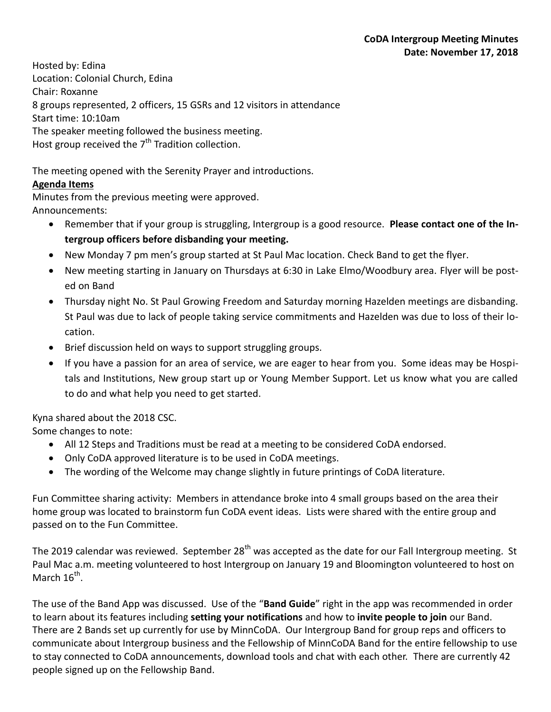Hosted by: Edina Location: Colonial Church, Edina Chair: Roxanne 8 groups represented, 2 officers, 15 GSRs and 12 visitors in attendance Start time: 10:10am The speaker meeting followed the business meeting. Host group received the  $7<sup>th</sup>$  Tradition collection.

The meeting opened with the Serenity Prayer and introductions.

## **Agenda Items**

Minutes from the previous meeting were approved. Announcements:

- Remember that if your group is struggling, Intergroup is a good resource. **Please contact one of the Intergroup officers before disbanding your meeting.**
- New Monday 7 pm men's group started at St Paul Mac location. Check Band to get the flyer.
- New meeting starting in January on Thursdays at 6:30 in Lake Elmo/Woodbury area. Flyer will be posted on Band
- Thursday night No. St Paul Growing Freedom and Saturday morning Hazelden meetings are disbanding. St Paul was due to lack of people taking service commitments and Hazelden was due to loss of their location.
- Brief discussion held on ways to support struggling groups.
- If you have a passion for an area of service, we are eager to hear from you. Some ideas may be Hospitals and Institutions, New group start up or Young Member Support. Let us know what you are called to do and what help you need to get started.

Kyna shared about the 2018 CSC.

Some changes to note:

- All 12 Steps and Traditions must be read at a meeting to be considered CoDA endorsed.
- Only CoDA approved literature is to be used in CoDA meetings.
- The wording of the Welcome may change slightly in future printings of CoDA literature.

Fun Committee sharing activity: Members in attendance broke into 4 small groups based on the area their home group was located to brainstorm fun CoDA event ideas. Lists were shared with the entire group and passed on to the Fun Committee.

The 2019 calendar was reviewed. September  $28<sup>th</sup>$  was accepted as the date for our Fall Intergroup meeting. St Paul Mac a.m. meeting volunteered to host Intergroup on January 19 and Bloomington volunteered to host on March  $16^{\text{th}}$ .

The use of the Band App was discussed. Use of the "**Band Guide**" right in the app was recommended in order to learn about its features including **setting your notifications** and how to **invite people to join** our Band. There are 2 Bands set up currently for use by MinnCoDA. Our Intergroup Band for group reps and officers to communicate about Intergroup business and the Fellowship of MinnCoDA Band for the entire fellowship to use to stay connected to CoDA announcements, download tools and chat with each other. There are currently 42 people signed up on the Fellowship Band.